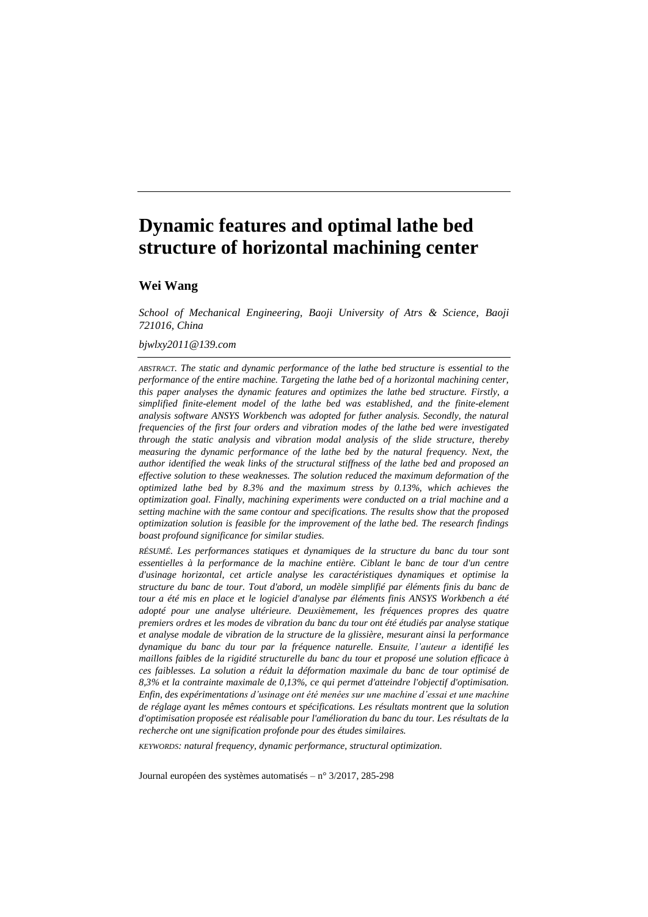# **Dynamic features and optimal lathe bed structure of horizontal machining center**

# **Wei Wang**

*School of Mechanical Engineering, Baoji University of Atrs & Science, Baoji 721016, China*

### *bjwlxy2011@139.com*

*ABSTRACT. The static and dynamic performance of the lathe bed structure is essential to the performance of the entire machine. Targeting the lathe bed of a horizontal machining center, this paper analyses the dynamic features and optimizes the lathe bed structure. Firstly, a simplified finite-element model of the lathe bed was established, and the finite-element analysis software ANSYS Workbench was adopted for futher analysis. Secondly, the natural frequencies of the first four orders and vibration modes of the lathe bed were investigated through the static analysis and vibration modal analysis of the slide structure, thereby measuring the dynamic performance of the lathe bed by the natural frequency. Next, the author identified the weak links of the structural stiffness of the lathe bed and proposed an effective solution to these weaknesses. The solution reduced the maximum deformation of the optimized lathe bed by 8.3% and the maximum stress by 0.13%, which achieves the optimization goal. Finally, machining experiments were conducted on a trial machine and a setting machine with the same contour and specifications. The results show that the proposed optimization solution is feasible for the improvement of the lathe bed. The research findings boast profound significance for similar studies.*

*RÉSUMÉ. Les performances statiques et dynamiques de la structure du banc du tour sont essentielles à la performance de la machine entière. Ciblant le banc de tour d'un centre d'usinage horizontal, cet article analyse les caractéristiques dynamiques et optimise la structure du banc de tour. Tout d'abord, un modèle simplifié par éléments finis du banc de tour a été mis en place et le logiciel d'analyse par éléments finis ANSYS Workbench a été adopté pour une analyse ultérieure. Deuxièmement, les fréquences propres des quatre premiers ordres et les modes de vibration du banc du tour ont été étudiés par analyse statique et analyse modale de vibration de la structure de la glissière, mesurant ainsi la performance dynamique du banc du tour par la fréquence naturelle. Ensuite, l'auteur a identifié les maillons faibles de la rigidité structurelle du banc du tour et proposé une solution efficace à ces faiblesses. La solution a réduit la déformation maximale du banc de tour optimisé de 8,3% et la contrainte maximale de 0,13%, ce qui permet d'atteindre l'objectif d'optimisation. Enfin, des expérimentations d'usinage ont été menées sur une machine d'essai et une machine de réglage ayant les mêmes contours et spécifications. Les résultats montrent que la solution d'optimisation proposée est réalisable pour l'amélioration du banc du tour. Les résultats de la recherche ont une signification profonde pour des études similaires.*

*KEYWORDS: natural frequency, dynamic performance, structural optimization.*

Journal européen des systèmes automatisés – n°3/2017, 285-298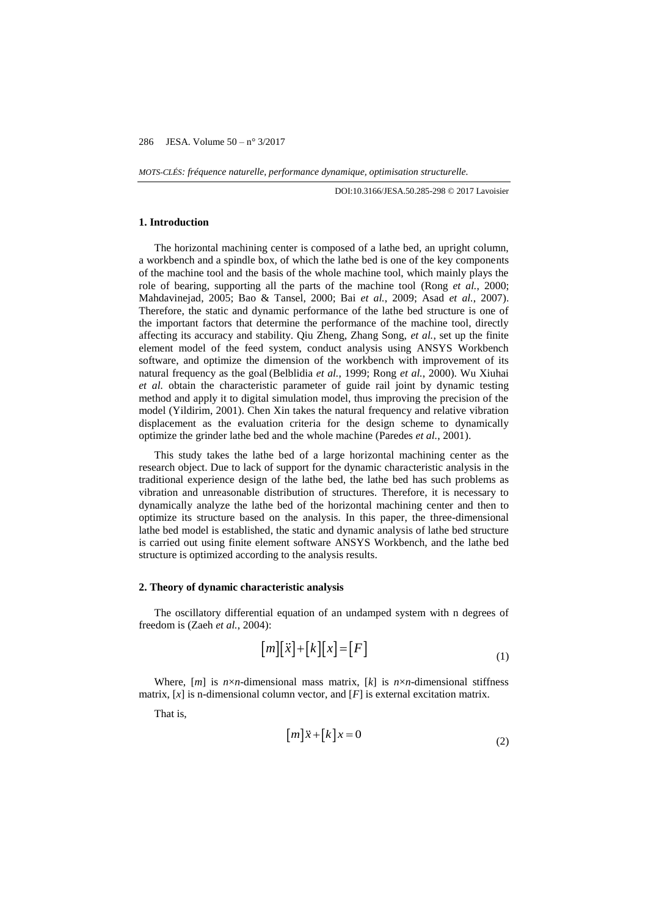*MOTS-CLÉS: fréquence naturelle, performance dynamique, optimisation structurelle.*

DOI:10.3166/JESA.50.285-298 © 2017 Lavoisier

### **1. Introduction**

The horizontal machining center is composed of a lathe bed, an upright column, a workbench and a spindle box, of which the lathe bed is one of the key components of the machine tool and the basis of the whole machine tool, which mainly plays the role of bearing, supporting all the parts of the machine tool (Rong *et al.*, 2000; Mahdavinejad, 2005; Bao & Tansel, 2000; Bai *et al.*, 2009; Asad *et al.*, 2007). Therefore, the static and dynamic performance of the lathe bed structure is one of the important factors that determine the performance of the machine tool, directly affecting its accuracy and stability. Qiu Zheng, Zhang Song, *et al.*, set up the finite element model of the feed system, conduct analysis using ANSYS Workbench software, and optimize the dimension of the workbench with improvement of its natural frequency as the goal (Belblidia *et al.*, 1999; Rong *et al.*, 2000). Wu Xiuhai *et al.* obtain the characteristic parameter of guide rail joint by dynamic testing method and apply it to digital simulation model, thus improving the precision of the model (Yildirim, 2001). Chen Xin takes the natural frequency and relative vibration displacement as the evaluation criteria for the design scheme to dynamically optimize the grinder lathe bed and the whole machine (Paredes *et al.*, 2001).

This study takes the lathe bed of a large horizontal machining center as the research object. Due to lack of support for the dynamic characteristic analysis in the traditional experience design of the lathe bed, the lathe bed has such problems as vibration and unreasonable distribution of structures. Therefore, it is necessary to dynamically analyze the lathe bed of the horizontal machining center and then to optimize its structure based on the analysis. In this paper, the three-dimensional lathe bed model is established, the static and dynamic analysis of lathe bed structure is carried out using finite element software ANSYS Workbench, and the lathe bed structure is optimized according to the analysis results.

### **2. Theory of dynamic characteristic analysis**

The oscillatory differential equation of an undamped system with n degrees of freedom is (Zaeh *et al.*, 2004):

$$
[m][\ddot{x}] + [k][x] = [F]
$$
\n<sup>(1)</sup>

Where,  $[m]$  is  $n \times n$ -dimensional mass matrix,  $[k]$  is  $n \times n$ -dimensional stiffness matrix,  $[x]$  is n-dimensional column vector, and  $[F]$  is external excitation matrix.

That is,

$$
[m]\ddot{x} + [k]x = 0\tag{2}
$$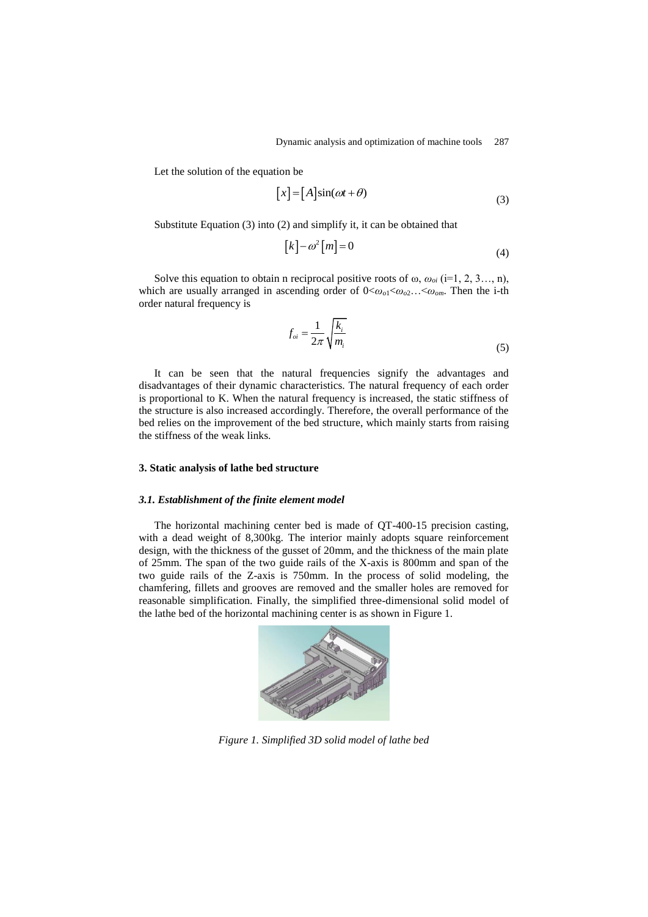Let the solution of the equation be

$$
[x] = [A]sin(\omega t + \theta)
$$
\n(3)

Substitute Equation (3) into (2) and simplify it, it can be obtained that

$$
[k] - \omega^2 [m] = 0 \tag{4}
$$

Solve this equation to obtain n reciprocal positive roots of  $\omega$ ,  $\omega_{oi}$  (i=1, 2, 3…, n), which are usually arranged in ascending order of  $0 < \omega_{o1} < \omega_{o2} \ldots < \omega_{om}$ . Then the i-th order natural frequency is

$$
f_{oi} = \frac{1}{2\pi} \sqrt{\frac{k_i}{m_i}}\tag{5}
$$

It can be seen that the natural frequencies signify the advantages and disadvantages of their dynamic characteristics. The natural frequency of each order is proportional to K. When the natural frequency is increased, the static stiffness of the structure is also increased accordingly. Therefore, the overall performance of the bed relies on the improvement of the bed structure, which mainly starts from raising the stiffness of the weak links.

### **3. Static analysis of lathe bed structure**

### *3.1. Establishment of the finite element model*

The horizontal machining center bed is made of QT-400-15 precision casting, with a dead weight of 8,300kg. The interior mainly adopts square reinforcement design, with the thickness of the gusset of 20mm, and the thickness of the main plate of 25mm. The span of the two guide rails of the X-axis is 800mm and span of the two guide rails of the Z-axis is 750mm. In the process of solid modeling, the chamfering, fillets and grooves are removed and the smaller holes are removed for reasonable simplification. Finally, the simplified three-dimensional solid model of the lathe bed of the horizontal machining center is as shown in Figure 1.



*Figure 1. Simplified 3D solid model of lathe bed*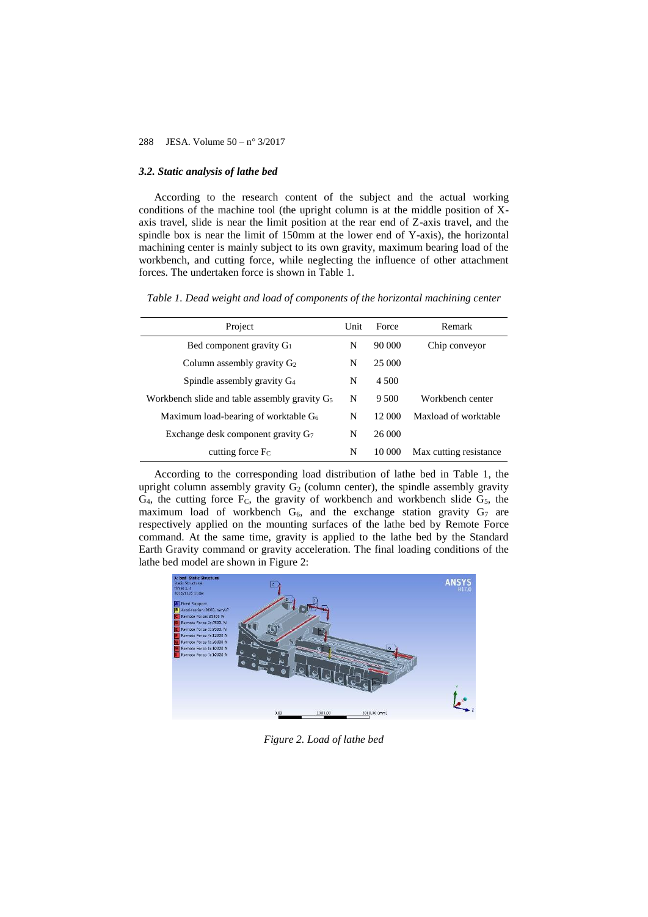### *3.2. Static analysis of lathe bed*

According to the research content of the subject and the actual working conditions of the machine tool (the upright column is at the middle position of Xaxis travel, slide is near the limit position at the rear end of Z-axis travel, and the spindle box is near the limit of 150mm at the lower end of Y-axis), the horizontal machining center is mainly subject to its own gravity, maximum bearing load of the workbench, and cutting force, while neglecting the influence of other attachment forces. The undertaken force is shown in Table 1.

*Table 1. Dead weight and load of components of the horizontal machining center*

| Project                                          |   | Force  | Remark                 |
|--------------------------------------------------|---|--------|------------------------|
| Bed component gravity $G_1$                      | N | 90 000 | Chip conveyor          |
| Column assembly gravity $G_2$                    | N | 25,000 |                        |
| Spindle assembly gravity G <sub>4</sub>          | N | 4.500  |                        |
| Workbench slide and table assembly gravity $G_5$ | N | 9.500  | Workbench center       |
| Maximum load-bearing of worktable G <sub>6</sub> |   | 12 000 | Maxload of worktable   |
| Exchange desk component gravity G                | N | 26 000 |                        |
| cutting force F <sub>C</sub>                     | N | 10 000 | Max cutting resistance |

According to the corresponding load distribution of lathe bed in Table 1, the upright column assembly gravity  $G_2$  (column center), the spindle assembly gravity  $G_4$ , the cutting force  $F_C$ , the gravity of workbench and workbench slide  $G_5$ , the maximum load of workbench  $G_6$ , and the exchange station gravity  $G_7$  are respectively applied on the mounting surfaces of the lathe bed by Remote Force command. At the same time, gravity is applied to the lathe bed by the Standard Earth Gravity command or gravity acceleration. The final loading conditions of the lathe bed model are shown in Figure 2:



*Figure 2. Load of lathe bed*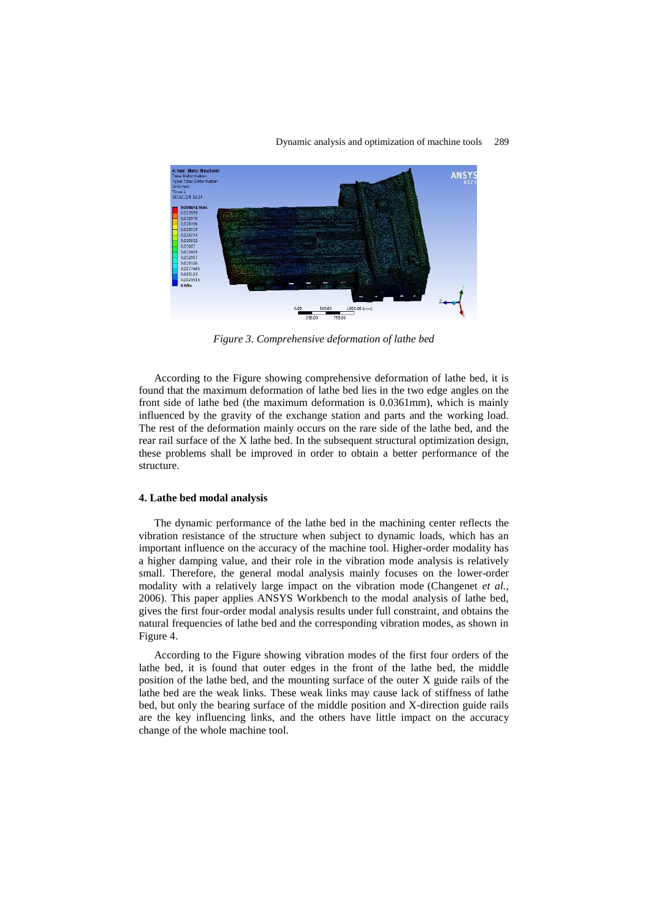

*Figure 3. Comprehensive deformation of lathe bed*

According to the Figure showing comprehensive deformation of lathe bed, it is found that the maximum deformation of lathe bed lies in the two edge angles on the front side of lathe bed (the maximum deformation is 0.0361mm), which is mainly influenced by the gravity of the exchange station and parts and the working load. The rest of the deformation mainly occurs on the rare side of the lathe bed, and the rear rail surface of the X lathe bed. In the subsequent structural optimization design, these problems shall be improved in order to obtain a better performance of the structure.

### **4. Lathe bed modal analysis**

The dynamic performance of the lathe bed in the machining center reflects the vibration resistance of the structure when subject to dynamic loads, which has an important influence on the accuracy of the machine tool. Higher-order modality has a higher damping value, and their role in the vibration mode analysis is relatively small. Therefore, the general modal analysis mainly focuses on the lower-order modality with a relatively large impact on the vibration mode (Changenet *et al.*, 2006). This paper applies ANSYS Workbench to the modal analysis of lathe bed, gives the first four-order modal analysis results under full constraint, and obtains the natural frequencies of lathe bed and the corresponding vibration modes, as shown in Figure 4.

According to the Figure showing vibration modes of the first four orders of the lathe bed, it is found that outer edges in the front of the lathe bed, the middle position of the lathe bed, and the mounting surface of the outer X guide rails of the lathe bed are the weak links. These weak links may cause lack of stiffness of lathe bed, but only the bearing surface of the middle position and X-direction guide rails are the key influencing links, and the others have little impact on the accuracy change of the whole machine tool.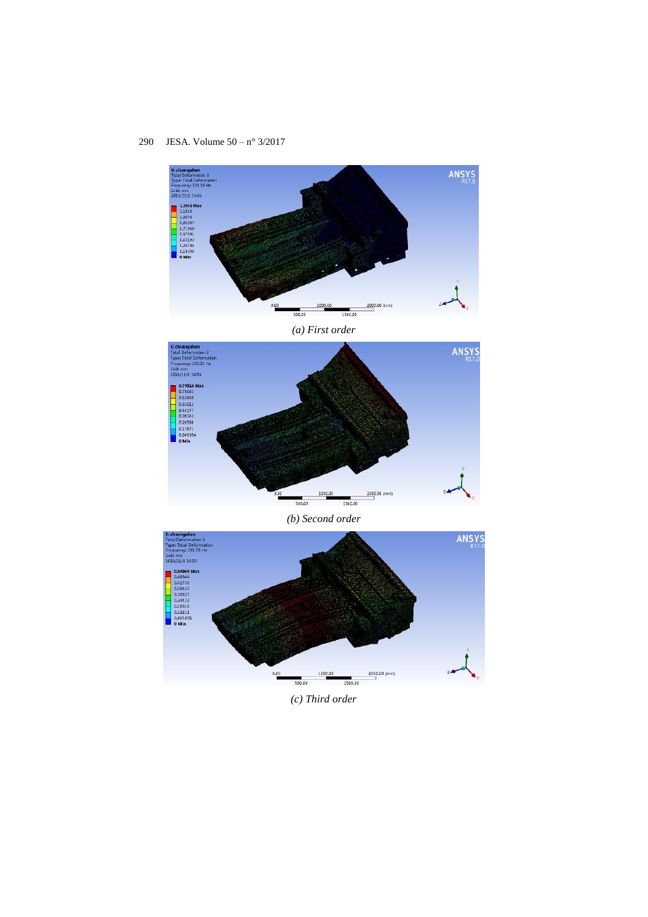

*(a) First order*



*(b) Second order*



*(c) Third order*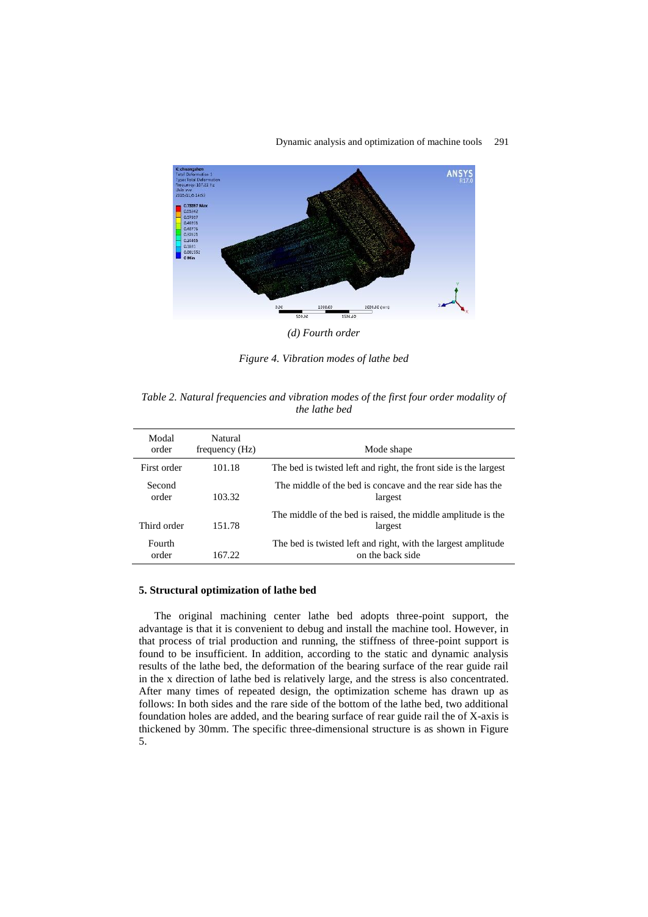



*(d) Fourth order*

*Figure 4. Vibration modes of lathe bed*

*Table 2. Natural frequencies and vibration modes of the first four order modality of the lathe bed*

| Modal<br>order  | Natural<br>frequency (Hz) | Mode shape                                                                        |
|-----------------|---------------------------|-----------------------------------------------------------------------------------|
| First order     | 101.18                    | The bed is twisted left and right, the front side is the largest                  |
| Second<br>order | 103.32                    | The middle of the bed is concave and the rear side has the<br>largest             |
| Third order     | 151.78                    | The middle of the bed is raised, the middle amplitude is the<br>largest           |
| Fourth<br>order | 167.22                    | The bed is twisted left and right, with the largest amplitude<br>on the back side |

### **5. Structural optimization of lathe bed**

The original machining center lathe bed adopts three-point support, the advantage is that it is convenient to debug and install the machine tool. However, in that process of trial production and running, the stiffness of three-point support is found to be insufficient. In addition, according to the static and dynamic analysis results of the lathe bed, the deformation of the bearing surface of the rear guide rail in the x direction of lathe bed is relatively large, and the stress is also concentrated. After many times of repeated design, the optimization scheme has drawn up as follows: In both sides and the rare side of the bottom of the lathe bed, two additional foundation holes are added, and the bearing surface of rear guide rail the of X-axis is thickened by 30mm. The specific three-dimensional structure is as shown in Figure 5.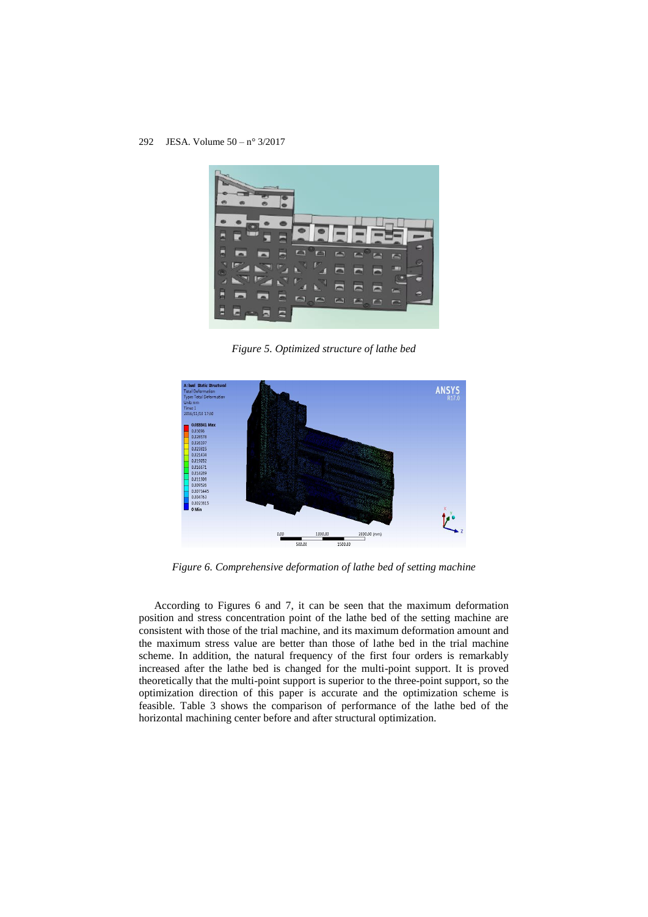

*Figure 5. Optimized structure of lathe bed*



*Figure 6. Comprehensive deformation of lathe bed of setting machine*

According to Figures 6 and 7, it can be seen that the maximum deformation position and stress concentration point of the lathe bed of the setting machine are consistent with those of the trial machine, and its maximum deformation amount and the maximum stress value are better than those of lathe bed in the trial machine scheme. In addition, the natural frequency of the first four orders is remarkably increased after the lathe bed is changed for the multi-point support. It is proved theoretically that the multi-point support is superior to the three-point support, so the optimization direction of this paper is accurate and the optimization scheme is feasible. Table 3 shows the comparison of performance of the lathe bed of the horizontal machining center before and after structural optimization.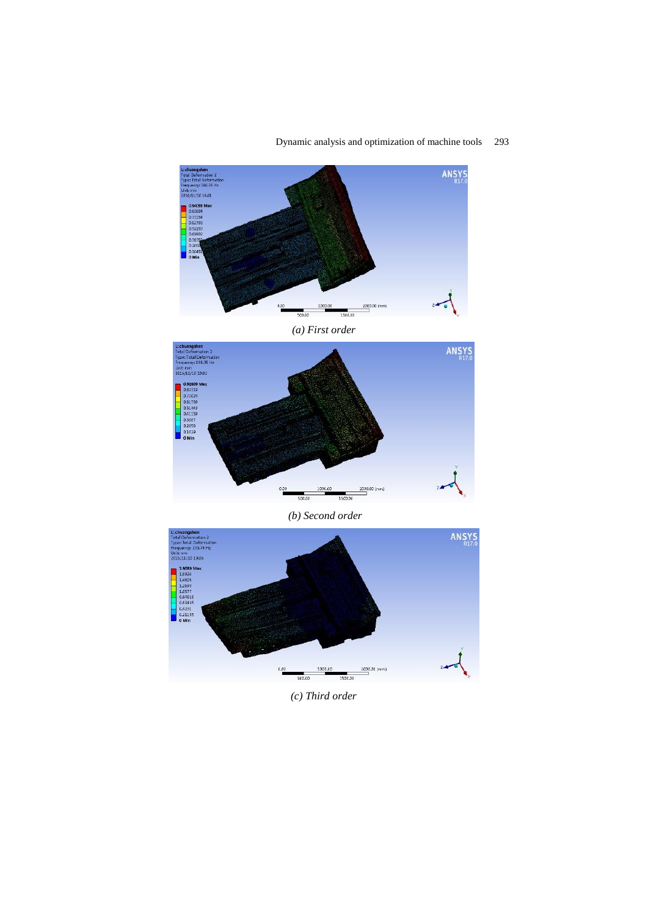



*(a) First order*



*(b) Second order*



*(c) Third order*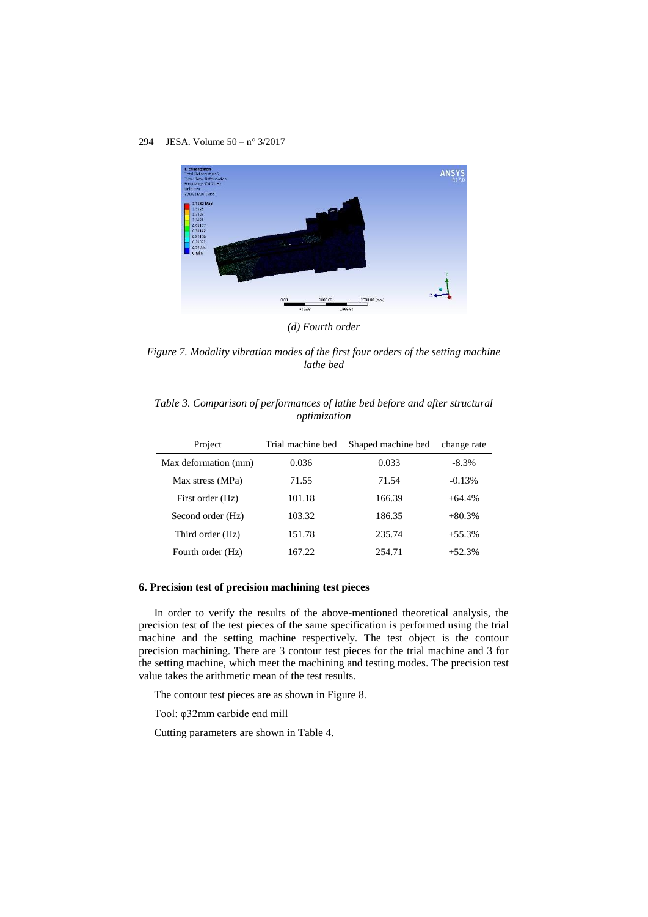

*(d) Fourth order*

*Figure 7. Modality vibration modes of the first four orders of the setting machine lathe bed*

| Table 3. Comparison of performances of lathe bed before and after structural |              |  |  |  |  |
|------------------------------------------------------------------------------|--------------|--|--|--|--|
|                                                                              | optimization |  |  |  |  |

| Project              | Trial machine bed | Shaped machine bed | change rate |
|----------------------|-------------------|--------------------|-------------|
| Max deformation (mm) | 0.036             | 0.033              | $-8.3\%$    |
| Max stress (MPa)     | 71.55             | 71.54              | $-0.13%$    |
| First order (Hz)     | 101.18            | 166.39             | $+64.4\%$   |
| Second order (Hz)    | 103.32            | 186.35             | $+80.3%$    |
| Third order (Hz)     | 151.78            | 235.74             | $+55.3%$    |
| Fourth order (Hz)    | 167.22            | 254.71             | $+52.3%$    |

### **6. Precision test of precision machining test pieces**

In order to verify the results of the above-mentioned theoretical analysis, the precision test of the test pieces of the same specification is performed using the trial machine and the setting machine respectively. The test object is the contour precision machining. There are 3 contour test pieces for the trial machine and 3 for the setting machine, which meet the machining and testing modes. The precision test value takes the arithmetic mean of the test results.

The contour test pieces are as shown in Figure 8.

Tool: φ32mm carbide end mill

Cutting parameters are shown in Table 4.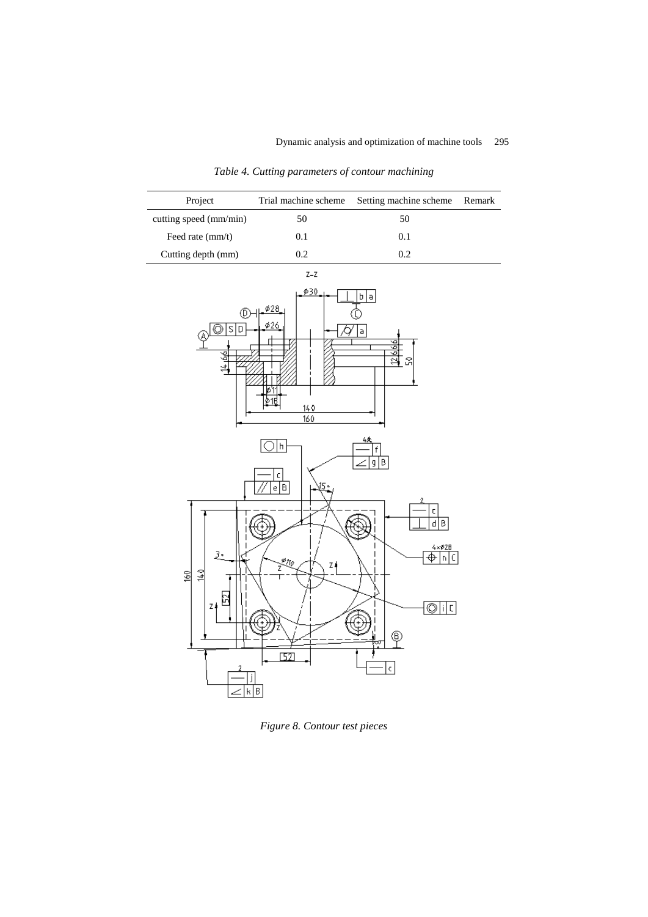Project Trial machine scheme Setting machine scheme Remark cutting speed (mm/min) 50 50 Feed rate  $\text{(mm/t)}$  0.1 0.1 Cutting depth (mm) 0.2 0.2  $Z-Z$ 030  $\boxed{\mathfrak{b} \mid \mathfrak{a}}$  $\phi$ 28 T ΦH <sub>®</sub>©ाऽ।०ँ 60  $\overline{\mathcal{N}}$  a ╡ 널 |≱1ई  $140$  $160$  $\overline{\bigcirc}$ h B | g  $\mathsf{C}$  $\lceil e \rceil$ B  $\mathsf{C}$  $\overline{d|B}$ ť€  $\frac{4 \times 28}{\frac{4}{2}}$ 3, ₹ų zł Ż  $14.0\,$ 160 囹  $\overline{\circ}$ ic Z ∉  $\circledcirc$  $52$  $\vert$  c  $\vert$ ∠|k|B

*Table 4. Cutting parameters of contour machining*

*Figure 8. Contour test pieces*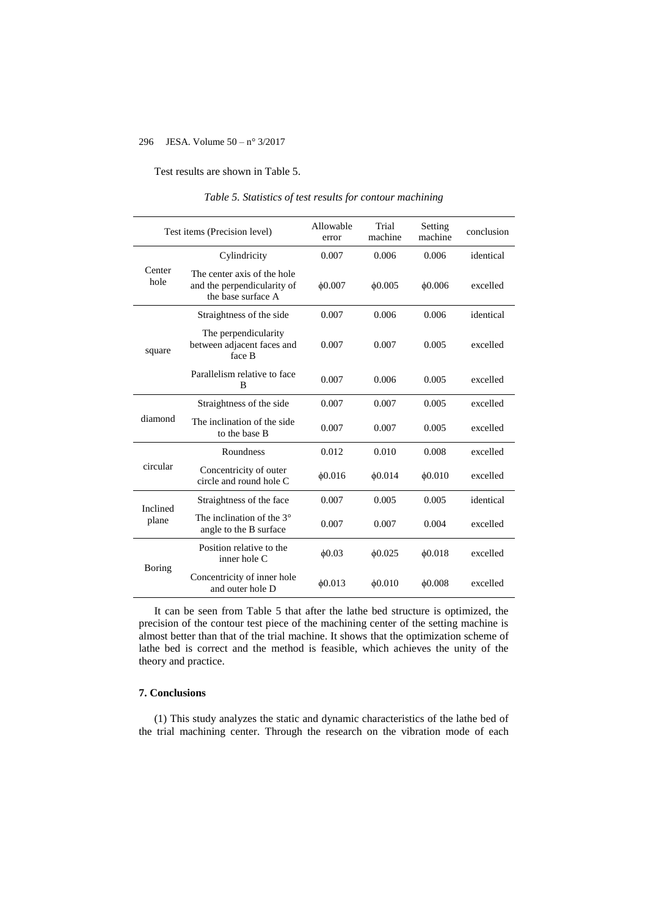Test results are shown in Table 5.

| Test items (Precision level) |                                                                                  | Allowable<br>error | Trial<br>machine | Setting<br>machine | conclusion |
|------------------------------|----------------------------------------------------------------------------------|--------------------|------------------|--------------------|------------|
|                              | Cylindricity                                                                     | 0.007              | 0.006            | 0.006              | identical  |
| Center<br>hole               | The center axis of the hole<br>and the perpendicularity of<br>the base surface A | $\phi$ 0.007       | 60.005           | 60.006             | excelled   |
| square                       | Straightness of the side                                                         | 0.007              | 0.006            | 0.006              | identical  |
|                              | The perpendicularity<br>between adjacent faces and<br>face B                     | 0.007              | 0.007            | 0.005              | excelled   |
|                              | Parallelism relative to face<br>B                                                | 0.007              | 0.006            | 0.005              | excelled   |
| diamond                      | Straightness of the side                                                         | 0.007              | 0.007            | 0.005              | excelled   |
|                              | The inclination of the side<br>to the base B                                     | 0.007              | 0.007            | 0.005              | excelled   |
| circular                     | Roundness                                                                        | 0.012              | 0.010            | 0.008              | excelled   |
|                              | Concentricity of outer<br>circle and round hole C                                | 60.016             | 60.014           | 60.010             | excelled   |
| Inclined<br>plane            | Straightness of the face                                                         | 0.007              | 0.005            | 0.005              | identical  |
|                              | The inclination of the $3^\circ$<br>angle to the B surface                       | 0.007              | 0.007            | 0.004              | excelled   |
| Boring                       | Position relative to the<br>inner hole C                                         | 60.03              | $\phi$ 0.025     | 60.018             | excelled   |
|                              | Concentricity of inner hole<br>and outer hole D                                  | 60.013             | 60.010           | $\phi$ 0.008       | excelled   |

*Table 5. Statistics of test results for contour machining*

It can be seen from Table 5 that after the lathe bed structure is optimized, the precision of the contour test piece of the machining center of the setting machine is almost better than that of the trial machine. It shows that the optimization scheme of lathe bed is correct and the method is feasible, which achieves the unity of the theory and practice.

# **7. Conclusions**

(1) This study analyzes the static and dynamic characteristics of the lathe bed of the trial machining center. Through the research on the vibration mode of each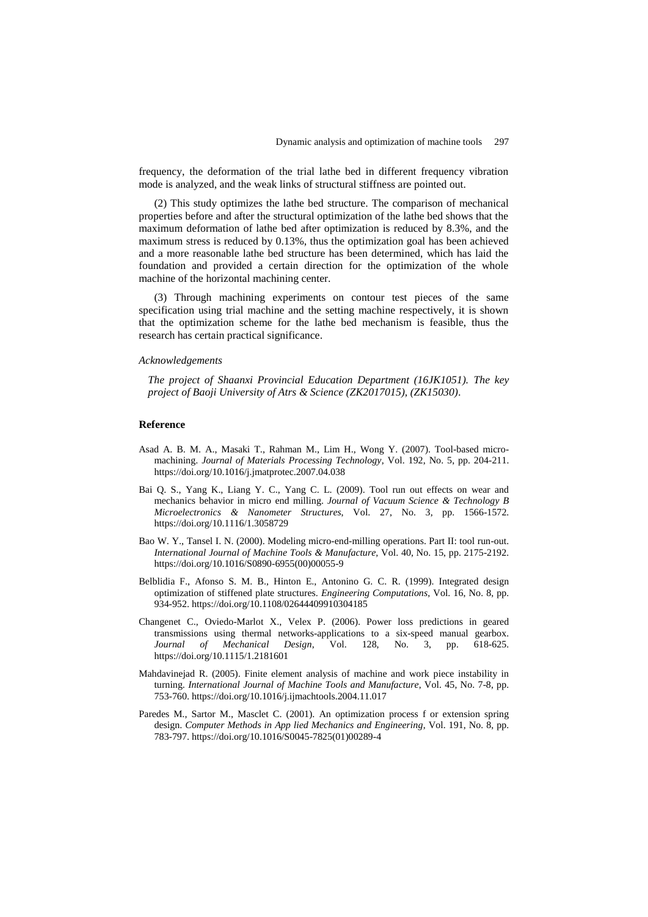frequency, the deformation of the trial lathe bed in different frequency vibration mode is analyzed, and the weak links of structural stiffness are pointed out.

(2) This study optimizes the lathe bed structure. The comparison of mechanical properties before and after the structural optimization of the lathe bed shows that the maximum deformation of lathe bed after optimization is reduced by 8.3%, and the maximum stress is reduced by 0.13%, thus the optimization goal has been achieved and a more reasonable lathe bed structure has been determined, which has laid the foundation and provided a certain direction for the optimization of the whole machine of the horizontal machining center.

(3) Through machining experiments on contour test pieces of the same specification using trial machine and the setting machine respectively, it is shown that the optimization scheme for the lathe bed mechanism is feasible, thus the research has certain practical significance.

### *Acknowledgements*

*The project of Shaanxi Provincial Education Department (16JK1051). The key project of Baoji University of Atrs & Science (ZK2017015), (ZK15030).*

### **Reference**

- Asad A. B. M. A., Masaki T., Rahman M., Lim H., Wong Y. (2007). Tool-based micromachining. *Journal of Materials Processing Technology*, Vol. 192, No. 5, pp. 204-211. https://doi.org/10.1016/j.jmatprotec.2007.04.038
- Bai Q. S., Yang K., Liang Y. C., Yang C. L. (2009). Tool run out effects on wear and mechanics behavior in micro end milling. *Journal of Vacuum Science & Technology B Microelectronics & Nanometer Structures*, Vol. 27, No. 3, pp. 1566-1572. https://doi.org/10.1116/1.3058729
- Bao W. Y., Tansel I. N. (2000). Modeling micro-end-milling operations. Part II: tool run-out. *International Journal of Machine Tools & Manufacture,* Vol. 40, No. 15, pp. 2175-2192. https://doi.org/10.1016/S0890-6955(00)00055-9
- Belblidia F., Afonso S. M. B., Hinton E., Antonino G. C. R. (1999). Integrated design optimization of stiffened plate structures. *Engineering Computations*, Vol. 16, No. 8, pp. 934-952. https://doi.org/10.1108/02644409910304185
- Changenet C., Oviedo-Marlot X., Velex P. (2006). Power loss predictions in geared transmissions using thermal networks-applications to a six-speed manual gearbox. *Journal of Mechanical Design*, Vol. 128, No. 3, pp. 618-625. https://doi.org/10.1115/1.2181601
- Mahdavinejad R. (2005). Finite element analysis of machine and work piece instability in turning. *International Journal of Machine Tools and Manufacture*, Vol. 45, No. 7-8, pp. 753-760. https://doi.org/10.1016/j.ijmachtools.2004.11.017
- Paredes M., Sartor M., Masclet C. (2001). An optimization process f or extension spring design. *Computer Methods in App lied Mechanics and Engineering*, Vol. 191, No. 8, pp. 783-797. https://doi.org/10.1016/S0045-7825(01)00289-4